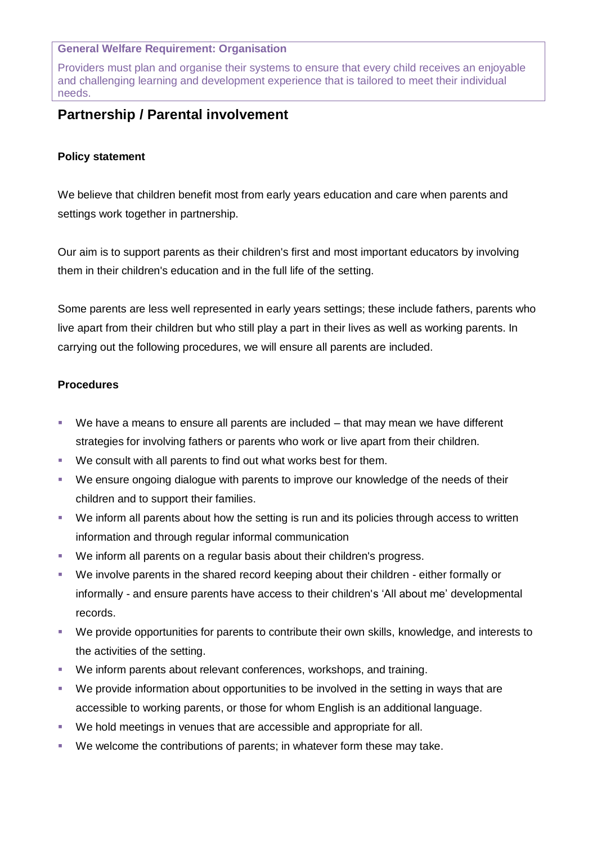## **General Welfare Requirement: Organisation**

Providers must plan and organise their systems to ensure that every child receives an enjoyable and challenging learning and development experience that is tailored to meet their individual needs.

## **Partnership / Parental involvement**

## **Policy statement**

We believe that children benefit most from early years education and care when parents and settings work together in partnership.

Our aim is to support parents as their children's first and most important educators by involving them in their children's education and in the full life of the setting.

Some parents are less well represented in early years settings; these include fathers, parents who live apart from their children but who still play a part in their lives as well as working parents. In carrying out the following procedures, we will ensure all parents are included.

## **Procedures**

- We have a means to ensure all parents are included that may mean we have different strategies for involving fathers or parents who work or live apart from their children.
- We consult with all parents to find out what works best for them.
- We ensure ongoing dialogue with parents to improve our knowledge of the needs of their children and to support their families.
- We inform all parents about how the setting is run and its policies through access to written information and through regular informal communication
- We inform all parents on a regular basis about their children's progress.
- We involve parents in the shared record keeping about their children either formally or informally - and ensure parents have access to their children's 'All about me' developmental records.
- We provide opportunities for parents to contribute their own skills, knowledge, and interests to the activities of the setting.
- We inform parents about relevant conferences, workshops, and training.
- We provide information about opportunities to be involved in the setting in ways that are accessible to working parents, or those for whom English is an additional language.
- We hold meetings in venues that are accessible and appropriate for all.
- We welcome the contributions of parents; in whatever form these may take.